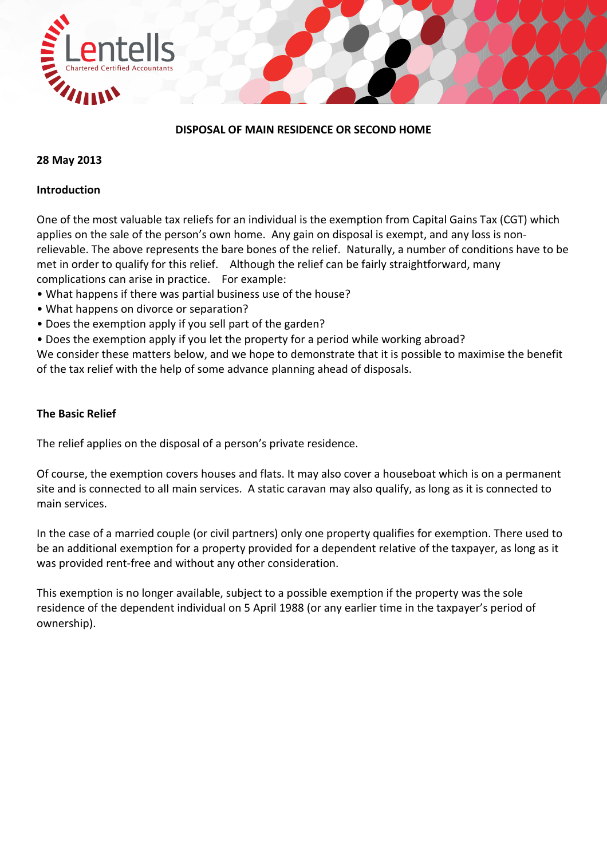

### **DISPOSAL OF MAIN RESIDENCE OR SECOND HOME**

### **28 May 2013**

### **Introduction**

One of the most valuable tax reliefs for an individual is the exemption from Capital Gains Tax (CGT) which applies on the sale of the person's own home. Any gain on disposal is exempt, and any loss is non‐ relievable. The above represents the bare bones of the relief. Naturally, a number of conditions have to be met in order to qualify for this relief. Although the relief can be fairly straightforward, many complications can arise in practice. For example:

- What happens if there was partial business use of the house?
- What happens on divorce or separation?
- Does the exemption apply if you sell part of the garden?
- Does the exemption apply if you let the property for a period while working abroad?

We consider these matters below, and we hope to demonstrate that it is possible to maximise the benefit of the tax relief with the help of some advance planning ahead of disposals.

#### **The Basic Relief**

The relief applies on the disposal of a person's private residence.

Of course, the exemption covers houses and flats. It may also cover a houseboat which is on a permanent site and is connected to all main services. A static caravan may also qualify, as long as it is connected to main services.

In the case of a married couple (or civil partners) only one property qualifies for exemption. There used to be an additional exemption for a property provided for a dependent relative of the taxpayer, as long as it was provided rent‐free and without any other consideration.

This exemption is no longer available, subject to a possible exemption if the property was the sole residence of the dependent individual on 5 April 1988 (or any earlier time in the taxpayer's period of ownership).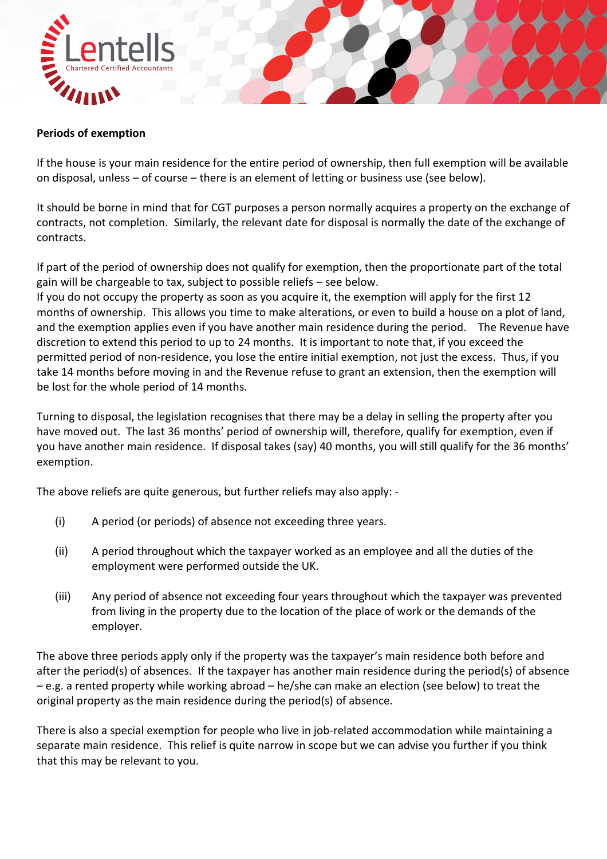

## **Periods of exemption**

If the house is your main residence for the entire period of ownership, then full exemption will be available on disposal, unless – of course – there is an element of letting or business use (see below).

It should be borne in mind that for CGT purposes a person normally acquires a property on the exchange of contracts, not completion. Similarly, the relevant date for disposal is normally the date of the exchange of contracts.

If part of the period of ownership does not qualify for exemption, then the proportionate part of the total gain will be chargeable to tax, subject to possible reliefs – see below.

If you do not occupy the property as soon as you acquire it, the exemption will apply for the first 12 months of ownership. This allows you time to make alterations, or even to build a house on a plot of land, and the exemption applies even if you have another main residence during the period. The Revenue have discretion to extend this period to up to 24 months. It is important to note that, if you exceed the permitted period of non‐residence, you lose the entire initial exemption, not just the excess. Thus, if you take 14 months before moving in and the Revenue refuse to grant an extension, then the exemption will be lost for the whole period of 14 months.

Turning to disposal, the legislation recognises that there may be a delay in selling the property after you have moved out. The last 36 months' period of ownership will, therefore, qualify for exemption, even if you have another main residence. If disposal takes (say) 40 months, you will still qualify for the 36 months' exemption.

The above reliefs are quite generous, but further reliefs may also apply: ‐

- (i) A period (or periods) of absence not exceeding three years.
- (ii) A period throughout which the taxpayer worked as an employee and all the duties of the employment were performed outside the UK.
- (iii) Any period of absence not exceeding four years throughout which the taxpayer was prevented from living in the property due to the location of the place of work or the demands of the employer.

The above three periods apply only if the property was the taxpayer's main residence both before and after the period(s) of absences. If the taxpayer has another main residence during the period(s) of absence – e.g. a rented property while working abroad – he/she can make an election (see below) to treat the original property as the main residence during the period(s) of absence.

There is also a special exemption for people who live in job-related accommodation while maintaining a separate main residence. This relief is quite narrow in scope but we can advise you further if you think that this may be relevant to you.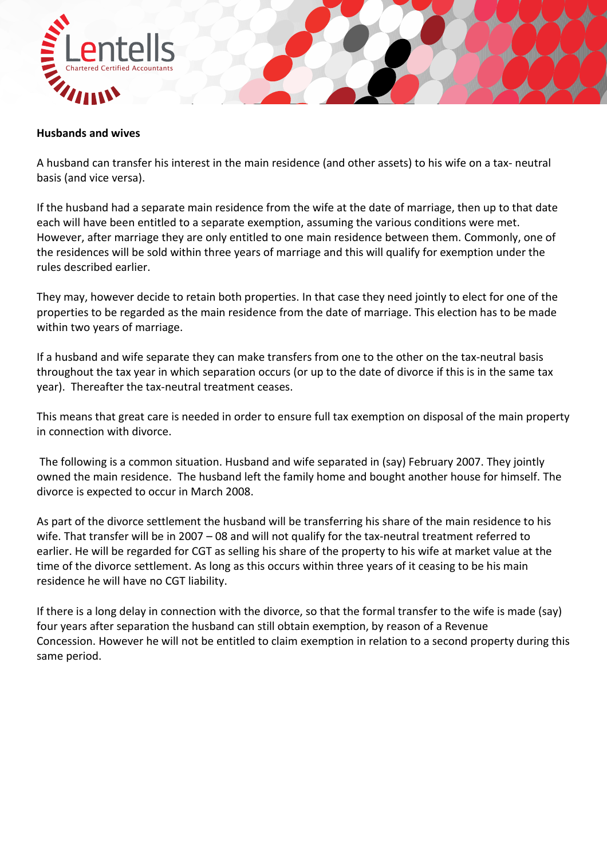

#### **Husbands and wives**

A husband can transfer his interest in the main residence (and other assets) to his wife on a tax‐ neutral basis (and vice versa).

If the husband had a separate main residence from the wife at the date of marriage, then up to that date each will have been entitled to a separate exemption, assuming the various conditions were met. However, after marriage they are only entitled to one main residence between them. Commonly, one of the residences will be sold within three years of marriage and this will qualify for exemption under the rules described earlier.

They may, however decide to retain both properties. In that case they need jointly to elect for one of the properties to be regarded as the main residence from the date of marriage. This election has to be made within two years of marriage.

If a husband and wife separate they can make transfers from one to the other on the tax‐neutral basis throughout the tax year in which separation occurs (or up to the date of divorce if this is in the same tax year). Thereafter the tax-neutral treatment ceases.

This means that great care is needed in order to ensure full tax exemption on disposal of the main property in connection with divorce.

The following is a common situation. Husband and wife separated in (say) February 2007. They jointly owned the main residence. The husband left the family home and bought another house for himself. The divorce is expected to occur in March 2008.

As part of the divorce settlement the husband will be transferring his share of the main residence to his wife. That transfer will be in 2007 – 08 and will not qualify for the tax-neutral treatment referred to earlier. He will be regarded for CGT as selling his share of the property to his wife at market value at the time of the divorce settlement. As long as this occurs within three years of it ceasing to be his main residence he will have no CGT liability.

If there is a long delay in connection with the divorce, so that the formal transfer to the wife is made (say) four years after separation the husband can still obtain exemption, by reason of a Revenue Concession. However he will not be entitled to claim exemption in relation to a second property during this same period.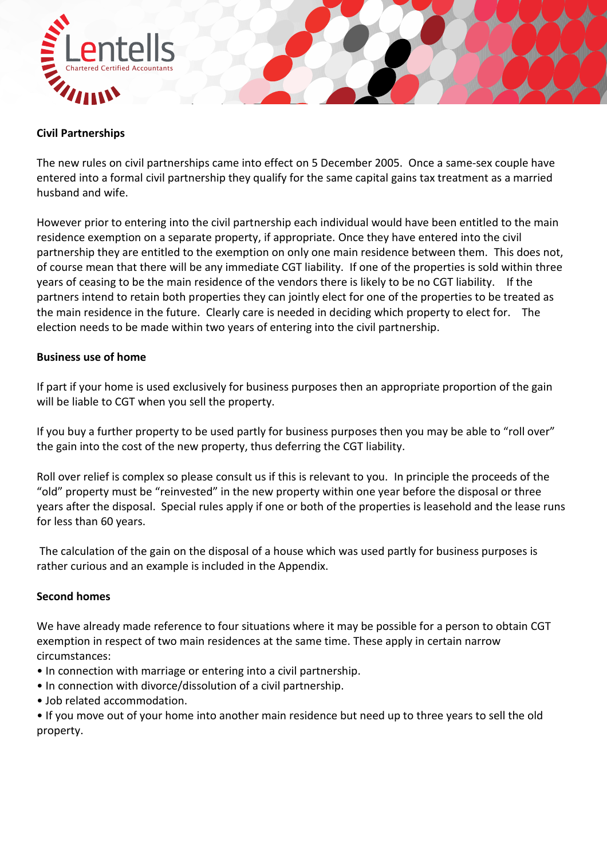

## **Civil Partnerships**

The new rules on civil partnerships came into effect on 5 December 2005. Once a same-sex couple have entered into a formal civil partnership they qualify for the same capital gains tax treatment as a married husband and wife.

However prior to entering into the civil partnership each individual would have been entitled to the main residence exemption on a separate property, if appropriate. Once they have entered into the civil partnership they are entitled to the exemption on only one main residence between them. This does not, of course mean that there will be any immediate CGT liability. If one of the properties is sold within three years of ceasing to be the main residence of the vendors there is likely to be no CGT liability. If the partners intend to retain both properties they can jointly elect for one of the properties to be treated as the main residence in the future. Clearly care is needed in deciding which property to elect for. The election needs to be made within two years of entering into the civil partnership.

## **Business use of home**

If part if your home is used exclusively for business purposes then an appropriate proportion of the gain will be liable to CGT when you sell the property.

If you buy a further property to be used partly for business purposes then you may be able to "roll over" the gain into the cost of the new property, thus deferring the CGT liability.

Roll over relief is complex so please consult us if this is relevant to you. In principle the proceeds of the "old" property must be "reinvested" in the new property within one year before the disposal or three years after the disposal. Special rules apply if one or both of the properties is leasehold and the lease runs for less than 60 years.

The calculation of the gain on the disposal of a house which was used partly for business purposes is rather curious and an example is included in the Appendix.

#### **Second homes**

We have already made reference to four situations where it may be possible for a person to obtain CGT exemption in respect of two main residences at the same time. These apply in certain narrow circumstances:

- In connection with marriage or entering into a civil partnership.
- In connection with divorce/dissolution of a civil partnership.
- Job related accommodation.

• If you move out of your home into another main residence but need up to three years to sell the old property.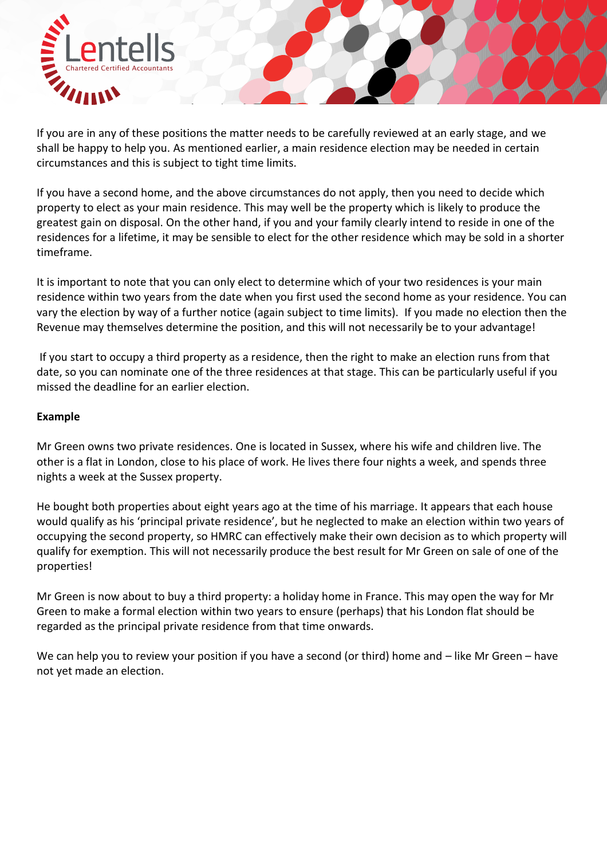

If you are in any of these positions the matter needs to be carefully reviewed at an early stage, and we shall be happy to help you. As mentioned earlier, a main residence election may be needed in certain circumstances and this is subject to tight time limits.

If you have a second home, and the above circumstances do not apply, then you need to decide which property to elect as your main residence. This may well be the property which is likely to produce the greatest gain on disposal. On the other hand, if you and your family clearly intend to reside in one of the residences for a lifetime, it may be sensible to elect for the other residence which may be sold in a shorter timeframe.

It is important to note that you can only elect to determine which of your two residences is your main residence within two years from the date when you first used the second home as your residence. You can vary the election by way of a further notice (again subject to time limits). If you made no election then the Revenue may themselves determine the position, and this will not necessarily be to your advantage!

If you start to occupy a third property as a residence, then the right to make an election runs from that date, so you can nominate one of the three residences at that stage. This can be particularly useful if you missed the deadline for an earlier election.

## **Example**

Mr Green owns two private residences. One is located in Sussex, where his wife and children live. The other is a flat in London, close to his place of work. He lives there four nights a week, and spends three nights a week at the Sussex property.

He bought both properties about eight years ago at the time of his marriage. It appears that each house would qualify as his 'principal private residence', but he neglected to make an election within two years of occupying the second property, so HMRC can effectively make their own decision as to which property will qualify for exemption. This will not necessarily produce the best result for Mr Green on sale of one of the properties!

Mr Green is now about to buy a third property: a holiday home in France. This may open the way for Mr Green to make a formal election within two years to ensure (perhaps) that his London flat should be regarded as the principal private residence from that time onwards.

We can help you to review your position if you have a second (or third) home and – like Mr Green – have not yet made an election.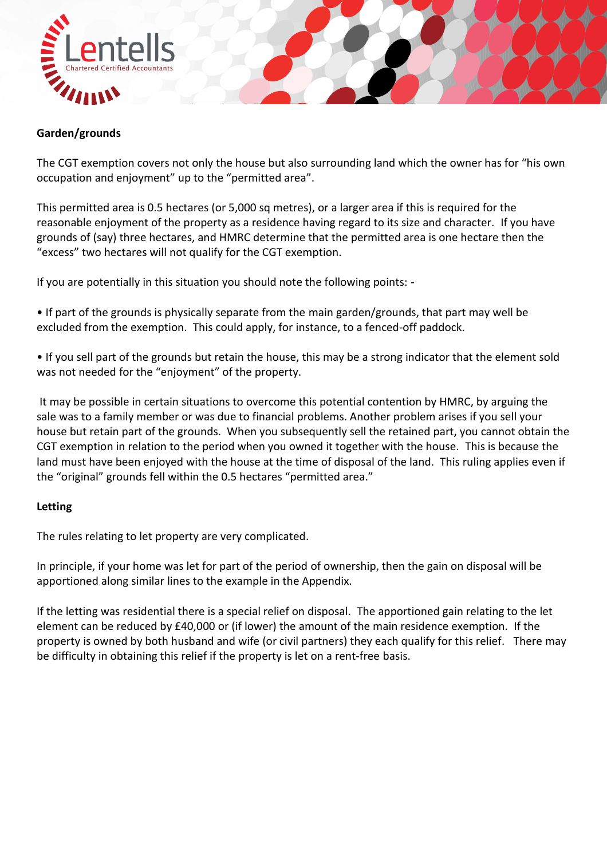

# **Garden/grounds**

The CGT exemption covers not only the house but also surrounding land which the owner has for "his own occupation and enjoyment" up to the "permitted area".

This permitted area is 0.5 hectares (or 5,000 sq metres), or a larger area if this is required for the reasonable enjoyment of the property as a residence having regard to its size and character. If you have grounds of (say) three hectares, and HMRC determine that the permitted area is one hectare then the "excess" two hectares will not qualify for the CGT exemption.

If you are potentially in this situation you should note the following points: ‐

• If part of the grounds is physically separate from the main garden/grounds, that part may well be excluded from the exemption. This could apply, for instance, to a fenced-off paddock.

• If you sell part of the grounds but retain the house, this may be a strong indicator that the element sold was not needed for the "enjoyment" of the property.

It may be possible in certain situations to overcome this potential contention by HMRC, by arguing the sale was to a family member or was due to financial problems. Another problem arises if you sell your house but retain part of the grounds. When you subsequently sell the retained part, you cannot obtain the CGT exemption in relation to the period when you owned it together with the house. This is because the land must have been enjoyed with the house at the time of disposal of the land. This ruling applies even if the "original" grounds fell within the 0.5 hectares "permitted area."

# **Letting**

The rules relating to let property are very complicated.

In principle, if your home was let for part of the period of ownership, then the gain on disposal will be apportioned along similar lines to the example in the Appendix.

If the letting was residential there is a special relief on disposal. The apportioned gain relating to the let element can be reduced by £40,000 or (if lower) the amount of the main residence exemption. If the property is owned by both husband and wife (or civil partners) they each qualify for this relief. There may be difficulty in obtaining this relief if the property is let on a rent-free basis.